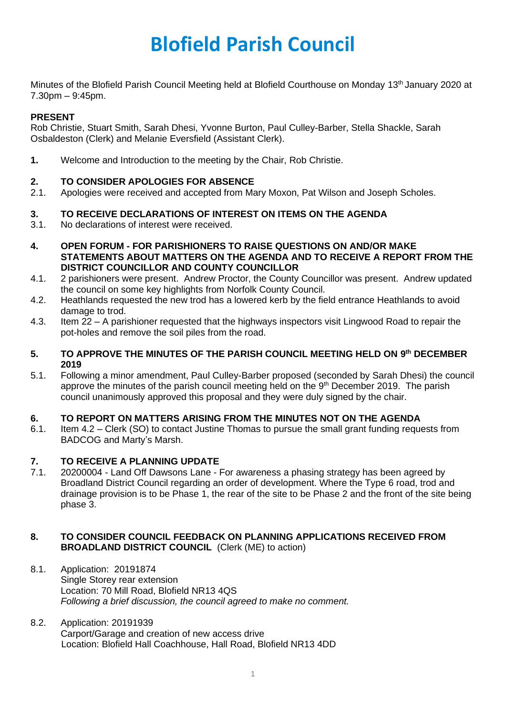Minutes of the Blofield Parish Council Meeting held at Blofield Courthouse on Monday 13<sup>th</sup> January 2020 at 7.30pm – 9:45pm.

# **PRESENT**

Rob Christie, Stuart Smith, Sarah Dhesi, Yvonne Burton, Paul Culley-Barber, Stella Shackle, Sarah Osbaldeston (Clerk) and Melanie Eversfield (Assistant Clerk).

**1.** Welcome and Introduction to the meeting by the Chair, Rob Christie.

# **2. TO CONSIDER APOLOGIES FOR ABSENCE**

2.1. Apologies were received and accepted from Mary Moxon, Pat Wilson and Joseph Scholes.

## **3. TO RECEIVE DECLARATIONS OF INTEREST ON ITEMS ON THE AGENDA**

- 3.1. No declarations of interest were received.
- **4. OPEN FORUM - FOR PARISHIONERS TO RAISE QUESTIONS ON AND/OR MAKE STATEMENTS ABOUT MATTERS ON THE AGENDA AND TO RECEIVE A REPORT FROM THE DISTRICT COUNCILLOR AND COUNTY COUNCILLOR**
- 4.1. 2 parishioners were present. Andrew Proctor, the County Councillor was present. Andrew updated the council on some key highlights from Norfolk County Council.
- 4.2. Heathlands requested the new trod has a lowered kerb by the field entrance Heathlands to avoid damage to trod.
- 4.3. Item 22 A parishioner requested that the highways inspectors visit Lingwood Road to repair the pot-holes and remove the soil piles from the road.

### **5. TO APPROVE THE MINUTES OF THE PARISH COUNCIL MEETING HELD ON 9 th DECEMBER 2019**

5.1. Following a minor amendment, Paul Culley-Barber proposed (seconded by Sarah Dhesi) the council approve the minutes of the parish council meeting held on the  $9<sup>th</sup>$  December 2019. The parish council unanimously approved this proposal and they were duly signed by the chair.

### **6. TO REPORT ON MATTERS ARISING FROM THE MINUTES NOT ON THE AGENDA**

6.1. Item 4.2 – Clerk (SO) to contact Justine Thomas to pursue the small grant funding requests from BADCOG and Marty's Marsh.

# **7. TO RECEIVE A PLANNING UPDATE**

7.1. 20200004 - Land Off Dawsons Lane - For awareness a phasing strategy has been agreed by Broadland District Council regarding an order of development. Where the Type 6 road, trod and drainage provision is to be Phase 1, the rear of the site to be Phase 2 and the front of the site being phase 3.

### **8. TO CONSIDER COUNCIL FEEDBACK ON PLANNING APPLICATIONS RECEIVED FROM BROADLAND DISTRICT COUNCIL** (Clerk (ME) to action)

- 8.1. Application: 20191874 Single Storey rear extension Location: 70 Mill Road, Blofield NR13 4QS *Following a brief discussion, the council agreed to make no comment.*
- 8.2. Application: 20191939 Carport/Garage and creation of new access drive Location: Blofield Hall Coachhouse, Hall Road, Blofield NR13 4DD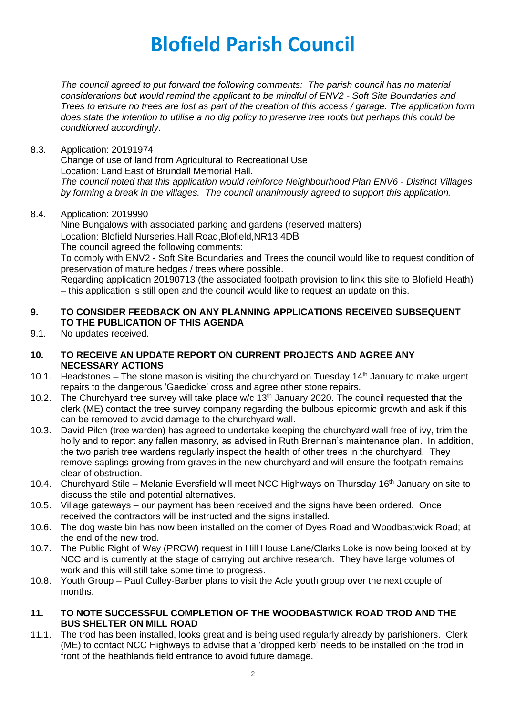*The council agreed to put forward the following comments: The parish council has no material considerations but would remind the applicant to be mindful of ENV2 - Soft Site Boundaries and Trees to ensure no trees are lost as part of the creation of this access / garage. The application form does state the intention to utilise a no dig policy to preserve tree roots but perhaps this could be conditioned accordingly.* 

8.3. Application: 20191974

Change of use of land from Agricultural to Recreational Use Location: Land East of Brundall Memorial Hall. *The council noted that this application would reinforce Neighbourhood Plan ENV6 - Distinct Villages by forming a break in the villages. The council unanimously agreed to support this application.*

8.4. Application: 2019990

Nine Bungalows with associated parking and gardens (reserved matters) Location: Blofield Nurseries,Hall Road,Blofield,NR13 4DB

The council agreed the following comments:

To comply with ENV2 - Soft Site Boundaries and Trees the council would like to request condition of preservation of mature hedges / trees where possible.

Regarding application 20190713 (the associated footpath provision to link this site to Blofield Heath) – this application is still open and the council would like to request an update on this.

# **9. TO CONSIDER FEEDBACK ON ANY PLANNING APPLICATIONS RECEIVED SUBSEQUENT TO THE PUBLICATION OF THIS AGENDA**

9.1. No updates received.

## **10. TO RECEIVE AN UPDATE REPORT ON CURRENT PROJECTS AND AGREE ANY NECESSARY ACTIONS**

- 10.1. Headstones The stone mason is visiting the churchyard on Tuesday  $14<sup>th</sup>$  January to make urgent repairs to the dangerous 'Gaedicke' cross and agree other stone repairs.
- 10.2. The Churchyard tree survey will take place w/c  $13<sup>th</sup>$  January 2020. The council requested that the clerk (ME) contact the tree survey company regarding the bulbous epicormic growth and ask if this can be removed to avoid damage to the churchyard wall.
- 10.3. David Pilch (tree warden) has agreed to undertake keeping the churchyard wall free of ivy, trim the holly and to report any fallen masonry, as advised in Ruth Brennan's maintenance plan. In addition, the two parish tree wardens regularly inspect the health of other trees in the churchyard. They remove saplings growing from graves in the new churchyard and will ensure the footpath remains clear of obstruction.
- 10.4. Churchyard Stile Melanie Eversfield will meet NCC Highways on Thursday 16<sup>th</sup> January on site to discuss the stile and potential alternatives.
- 10.5. Village gateways our payment has been received and the signs have been ordered. Once received the contractors will be instructed and the signs installed.
- 10.6. The dog waste bin has now been installed on the corner of Dyes Road and Woodbastwick Road; at the end of the new trod.
- 10.7. The Public Right of Way (PROW) request in Hill House Lane/Clarks Loke is now being looked at by NCC and is currently at the stage of carrying out archive research. They have large volumes of work and this will still take some time to progress.
- 10.8. Youth Group Paul Culley-Barber plans to visit the Acle youth group over the next couple of months.

## **11. TO NOTE SUCCESSFUL COMPLETION OF THE WOODBASTWICK ROAD TROD AND THE BUS SHELTER ON MILL ROAD**

11.1. The trod has been installed, looks great and is being used regularly already by parishioners. Clerk (ME) to contact NCC Highways to advise that a 'dropped kerb' needs to be installed on the trod in front of the heathlands field entrance to avoid future damage.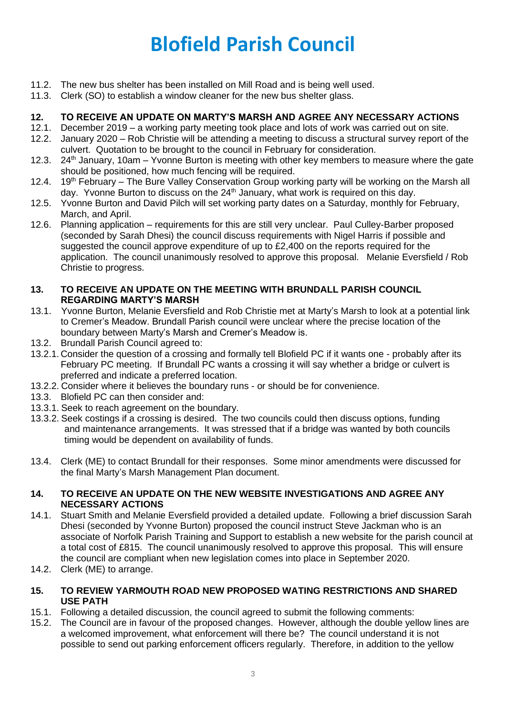- 11.2. The new bus shelter has been installed on Mill Road and is being well used.
- 11.3. Clerk (SO) to establish a window cleaner for the new bus shelter glass.

# **12. TO RECEIVE AN UPDATE ON MARTY'S MARSH AND AGREE ANY NECESSARY ACTIONS**

- 12.1. December 2019 a working party meeting took place and lots of work was carried out on site.
- 12.2. January 2020 Rob Christie will be attending a meeting to discuss a structural survey report of the culvert. Quotation to be brought to the council in February for consideration.
- 12.3. 24<sup>th</sup> January, 10am Yvonne Burton is meeting with other key members to measure where the gate should be positioned, how much fencing will be required.
- 12.4. 19<sup>th</sup> February The Bure Valley Conservation Group working party will be working on the Marsh all day. Yvonne Burton to discuss on the 24<sup>th</sup> January, what work is required on this day.
- 12.5. Yvonne Burton and David Pilch will set working party dates on a Saturday, monthly for February, March, and April.
- 12.6. Planning application requirements for this are still very unclear. Paul Culley-Barber proposed (seconded by Sarah Dhesi) the council discuss requirements with Nigel Harris if possible and suggested the council approve expenditure of up to £2,400 on the reports required for the application. The council unanimously resolved to approve this proposal. Melanie Eversfield / Rob Christie to progress.

### **13. TO RECEIVE AN UPDATE ON THE MEETING WITH BRUNDALL PARISH COUNCIL REGARDING MARTY'S MARSH**

- 13.1. Yvonne Burton, Melanie Eversfield and Rob Christie met at Marty's Marsh to look at a potential link to Cremer's Meadow. Brundall Parish council were unclear where the precise location of the boundary between Marty's Marsh and Cremer's Meadow is.
- 13.2. Brundall Parish Council agreed to:
- 13.2.1. Consider the question of a crossing and formally tell Blofield PC if it wants one probably after its February PC meeting. If Brundall PC wants a crossing it will say whether a bridge or culvert is preferred and indicate a preferred location.
- 13.2.2. Consider where it believes the boundary runs or should be for convenience.
- 13.3. Blofield PC can then consider and:
- 13.3.1. Seek to reach agreement on the boundary.
- 13.3.2. Seek costings if a crossing is desired. The two councils could then discuss options, funding and maintenance arrangements. It was stressed that if a bridge was wanted by both councils timing would be dependent on availability of funds.
- 13.4. Clerk (ME) to contact Brundall for their responses. Some minor amendments were discussed for the final Marty's Marsh Management Plan document.

### **14. TO RECEIVE AN UPDATE ON THE NEW WEBSITE INVESTIGATIONS AND AGREE ANY NECESSARY ACTIONS**

- 14.1. Stuart Smith and Melanie Eversfield provided a detailed update. Following a brief discussion Sarah Dhesi (seconded by Yvonne Burton) proposed the council instruct Steve Jackman who is an associate of Norfolk Parish Training and Support to establish a new website for the parish council at a total cost of £815. The council unanimously resolved to approve this proposal. This will ensure the council are compliant when new legislation comes into place in September 2020.
- 14.2. Clerk (ME) to arrange.

## **15. TO REVIEW YARMOUTH ROAD NEW PROPOSED WATING RESTRICTIONS AND SHARED USE PATH**

- 15.1. Following a detailed discussion, the council agreed to submit the following comments:
- 15.2. The Council are in favour of the proposed changes. However, although the double yellow lines are a welcomed improvement, what enforcement will there be? The council understand it is not possible to send out parking enforcement officers regularly. Therefore, in addition to the yellow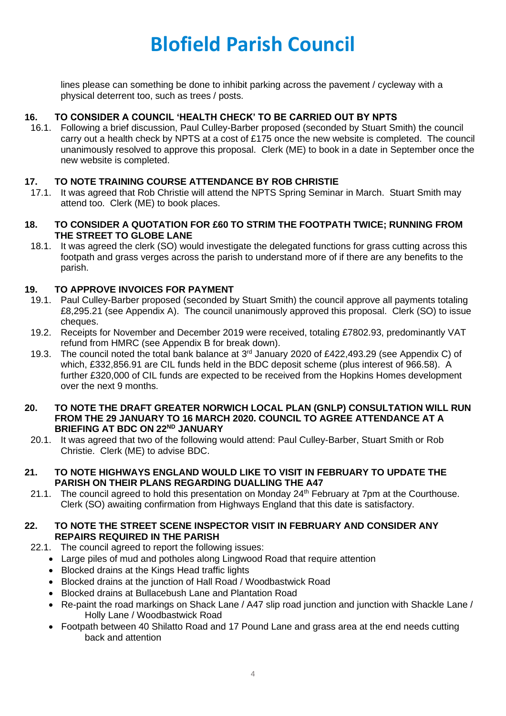lines please can something be done to inhibit parking across the pavement / cycleway with a physical deterrent too, such as trees / posts.

# **16. TO CONSIDER A COUNCIL 'HEALTH CHECK' TO BE CARRIED OUT BY NPTS**

16.1. Following a brief discussion, Paul Culley-Barber proposed (seconded by Stuart Smith) the council carry out a health check by NPTS at a cost of £175 once the new website is completed. The council unanimously resolved to approve this proposal. Clerk (ME) to book in a date in September once the new website is completed.

### **17. TO NOTE TRAINING COURSE ATTENDANCE BY ROB CHRISTIE**

- 17.1. It was agreed that Rob Christie will attend the NPTS Spring Seminar in March. Stuart Smith may attend too. Clerk (ME) to book places.
- **18. TO CONSIDER A QUOTATION FOR £60 TO STRIM THE FOOTPATH TWICE; RUNNING FROM THE STREET TO GLOBE LANE**
	- 18.1. It was agreed the clerk (SO) would investigate the delegated functions for grass cutting across this footpath and grass verges across the parish to understand more of if there are any benefits to the parish.

## **19. TO APPROVE INVOICES FOR PAYMENT**

- 19.1. Paul Culley-Barber proposed (seconded by Stuart Smith) the council approve all payments totaling £8,295.21 (see Appendix A). The council unanimously approved this proposal. Clerk (SO) to issue cheques.
- 19.2. Receipts for November and December 2019 were received, totaling £7802.93, predominantly VAT refund from HMRC (see Appendix B for break down).
- 19.3. The council noted the total bank balance at 3<sup>rd</sup> January 2020 of £422,493.29 (see Appendix C) of which, £332,856.91 are CIL funds held in the BDC deposit scheme (plus interest of 966.58). A further £320,000 of CIL funds are expected to be received from the Hopkins Homes development over the next 9 months.
- **20. TO NOTE THE DRAFT GREATER NORWICH LOCAL PLAN (GNLP) CONSULTATION WILL RUN FROM THE 29 JANUARY TO 16 MARCH 2020. COUNCIL TO AGREE ATTENDANCE AT A BRIEFING AT BDC ON 22ND JANUARY**
- 20.1. It was agreed that two of the following would attend: Paul Culley-Barber, Stuart Smith or Rob Christie. Clerk (ME) to advise BDC.

### **21. TO NOTE HIGHWAYS ENGLAND WOULD LIKE TO VISIT IN FEBRUARY TO UPDATE THE PARISH ON THEIR PLANS REGARDING DUALLING THE A47**

21.1. The council agreed to hold this presentation on Monday 24<sup>th</sup> February at 7pm at the Courthouse. Clerk (SO) awaiting confirmation from Highways England that this date is satisfactory.

#### **22. TO NOTE THE STREET SCENE INSPECTOR VISIT IN FEBRUARY AND CONSIDER ANY REPAIRS REQUIRED IN THE PARISH**

- 22.1. The council agreed to report the following issues:
	- Large piles of mud and potholes along Lingwood Road that require attention
	- Blocked drains at the Kings Head traffic lights
	- Blocked drains at the junction of Hall Road / Woodbastwick Road
	- Blocked drains at Bullacebush Lane and Plantation Road
	- Re-paint the road markings on Shack Lane / A47 slip road junction and junction with Shackle Lane / Holly Lane / Woodbastwick Road
	- Footpath between 40 Shilatto Road and 17 Pound Lane and grass area at the end needs cutting back and attention